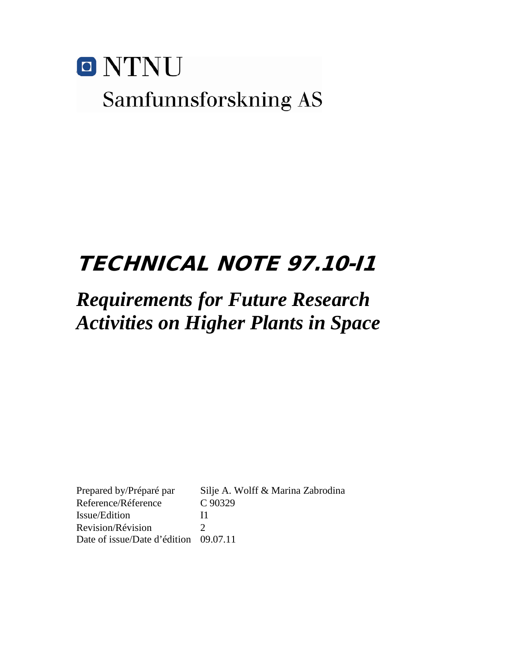# *333333333* Samfunnsforskning AS

# TECHNICAL NOTE 97.10-I1

## *Requirements for Future Research Activities on Higher Plants in Space*

Prepared by/Préparé par Silje A. Wolff & Marina Zabrodina Reference/Réference C 90329 Issue/Edition I1 Revision/Révision 2 Date of issue/Date d'édition 09.07.11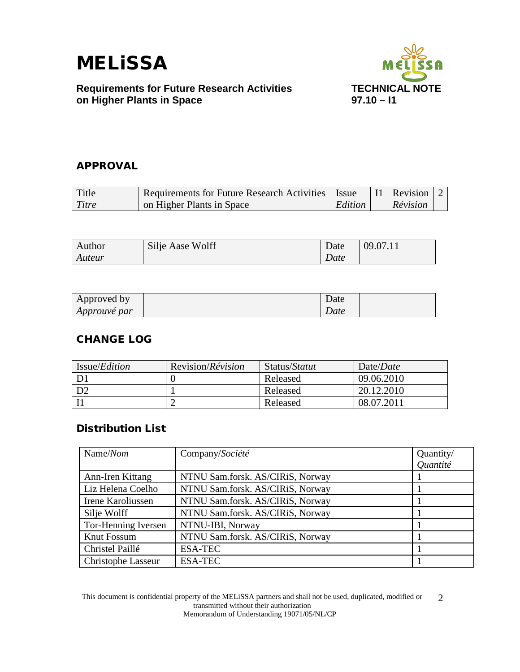

**Requirements for Future Research Activities on Higher Plants in Space**



### APPROVAL

| Title | Requirements for Future Research Activities   Issue |         | $\vert$ I1   Revision   2 |  |
|-------|-----------------------------------------------------|---------|---------------------------|--|
| Titre | on Higher Plants in Space                           | Edition | Révision                  |  |

| Author | Silje Aase Wolff | Date | 09.07.11 |
|--------|------------------|------|----------|
| Auteur |                  | Date |          |

| Approved by         | Date |  |
|---------------------|------|--|
| <i>Approuve par</i> | Date |  |

### CHANGE LOG

| Issue/ <i>Edition</i> | Revision/ <i>Révision</i> | Status/ <i>Statut</i> | Date/ <i>Date</i> |
|-----------------------|---------------------------|-----------------------|-------------------|
|                       |                           | Released              | 09.06.2010        |
|                       |                           | Released              | 20.12.2010        |
|                       |                           | Released              | 08.07.2011        |

#### Distribution List

| Name/Nom            | Company/Société                  | Quantity/<br>Quantité |
|---------------------|----------------------------------|-----------------------|
| Ann-Iren Kittang    | NTNU Sam.forsk. AS/CIRIS, Norway |                       |
| Liz Helena Coelho   | NTNU Sam.forsk. AS/CIRiS, Norway |                       |
| Irene Karoliussen   | NTNU Sam.forsk. AS/CIRiS, Norway |                       |
| Silje Wolff         | NTNU Sam.forsk. AS/CIRiS, Norway |                       |
| Tor-Henning Iversen | NTNU-IBI, Norway                 |                       |
| Knut Fossum         | NTNU Sam.forsk. AS/CIRiS, Norway |                       |
| Christel Paillé     | <b>ESA-TEC</b>                   |                       |
| Christophe Lasseur  | <b>ESA-TEC</b>                   |                       |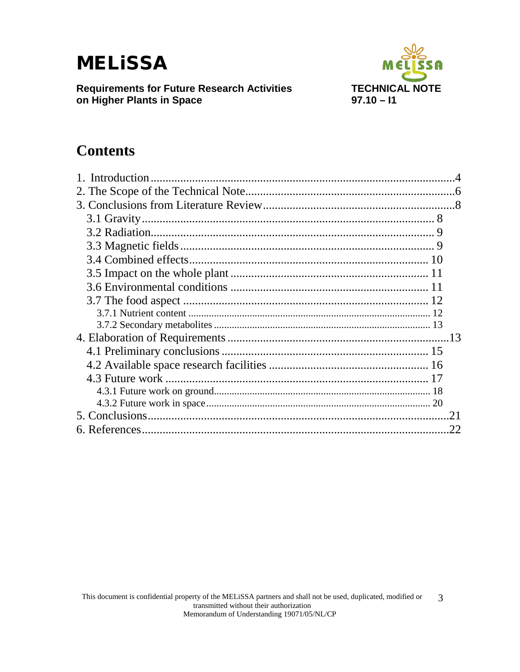## **MELISSA**

**Requirements for Future Research Activities** on Higher Plants in Space



## **Contents**

| .21 |
|-----|
| .22 |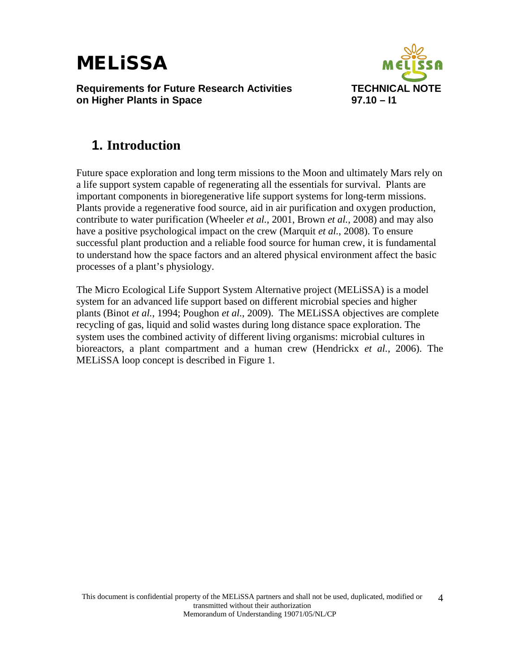**Requirements for Future Research Activities on Higher Plants in Space**



### <span id="page-3-0"></span>**1. Introduction**

Future space exploration and long term missions to the Moon and ultimately Mars rely on a life support system capable of regenerating all the essentials for survival. Plants are important components in bioregenerative life support systems for long-term missions. Plants provide a regenerative food source, aid in air purification and oxygen production, contribute to water purification (Wheeler *et al.*, 2001, Brown *et al.*, 2008) and may also have a positive psychological impact on the crew (Marquit *et al.*, 2008). To ensure successful plant production and a reliable food source for human crew, it is fundamental to understand how the space factors and an altered physical environment affect the basic processes of a plant's physiology.

The Micro Ecological Life Support System Alternative project (MELiSSA) is a model system for an advanced life support based on different microbial species and higher plants (Binot *et al.*, 1994; Poughon *et al.*, 2009). The MELiSSA objectives are complete recycling of gas, liquid and solid wastes during long distance space exploration. The system uses the combined activity of different living organisms: microbial cultures in bioreactors, a plant compartment and a human crew (Hendrickx *et al.*, 2006). The MELiSSA loop concept is described in Figure 1.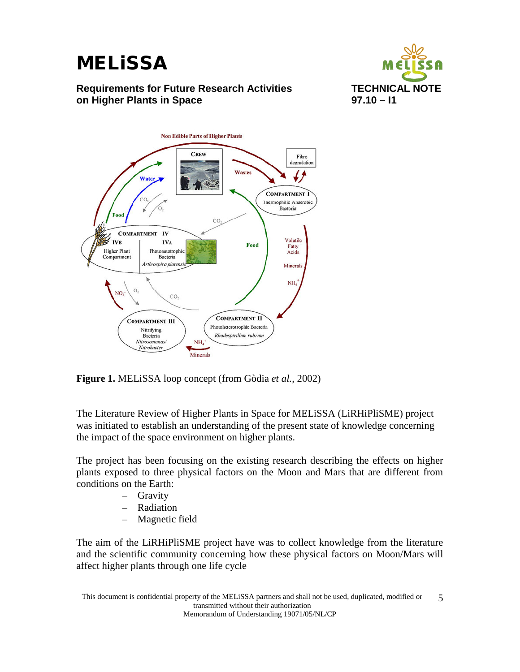**Requirements for Future Research Activities on Higher Plants in Space**





**Figure 1.** MELiSSA loop concept (from Gòdia *et al.*, 2002)

The Literature Review of Higher Plants in Space for MELiSSA (LiRHiPliSME) project was initiated to establish an understanding of the present state of knowledge concerning the impact of the space environment on higher plants.

The project has been focusing on the existing research describing the effects on higher plants exposed to three physical factors on the Moon and Mars that are different from conditions on the Earth:

- Gravity
- Radiation
- Magnetic field

The aim of the LiRHiPliSME project have was to collect knowledge from the literature and the scientific community concerning how these physical factors on Moon/Mars will affect higher plants through one life cycle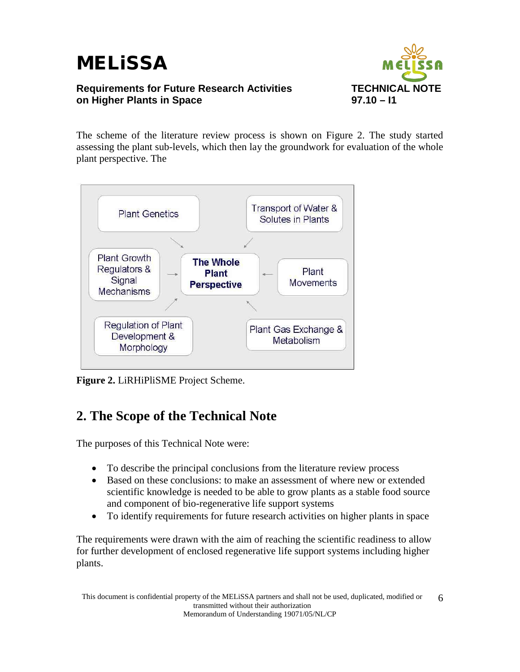### **Requirements for Future Research Activities on Higher Plants in Space**



The scheme of the literature review process is shown on Figure 2. The study started assessing the plant sub-levels, which then lay the groundwork for evaluation of the whole plant perspective. The



**Figure 2.** LiRHiPliSME Project Scheme.

### <span id="page-5-0"></span>**2. The Scope of the Technical Note**

The purposes of this Technical Note were:

- To describe the principal conclusions from the literature review process
- Based on these conclusions: to make an assessment of where new or extended scientific knowledge is needed to be able to grow plants as a stable food source and component of bio-regenerative life support systems
- To identify requirements for future research activities on higher plants in space

The requirements were drawn with the aim of reaching the scientific readiness to allow for further development of enclosed regenerative life support systems including higher plants.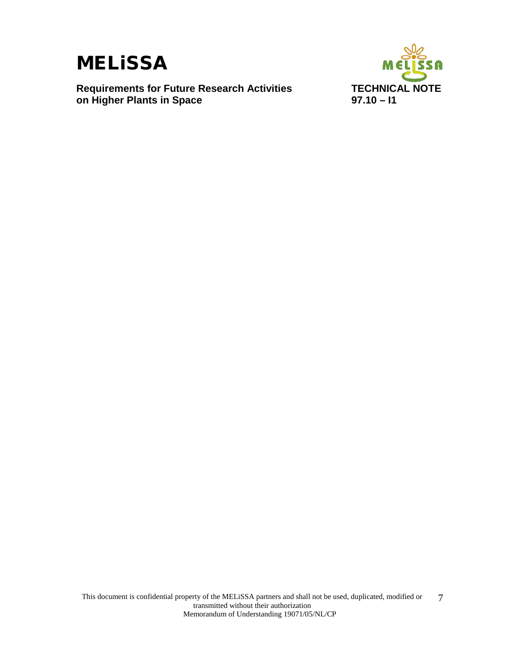

**Requirements for Future Research Activities on Higher Plants in Space**

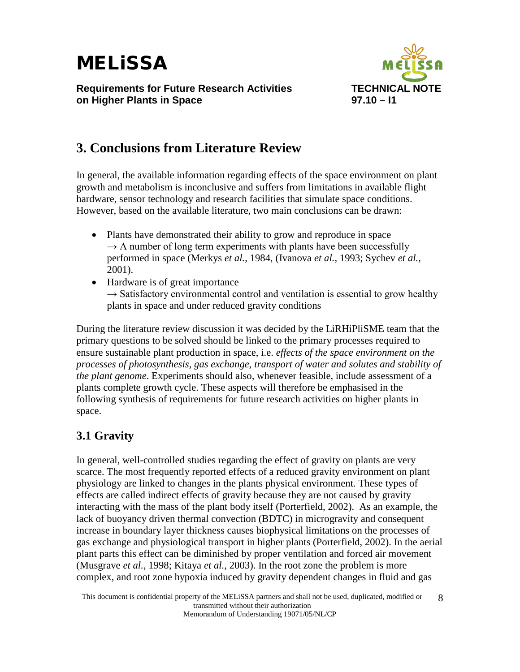**Requirements for Future Research Activities on Higher Plants in Space**



### <span id="page-7-0"></span>**3. Conclusions from Literature Review**

In general, the available information regarding effects of the space environment on plant growth and metabolism is inconclusive and suffers from limitations in available flight hardware, sensor technology and research facilities that simulate space conditions. However, based on the available literature, two main conclusions can be drawn:

- Plants have demonstrated their ability to grow and reproduce in space  $\rightarrow$  A number of long term experiments with plants have been successfully performed in space (Merkys *et al.*, 1984, (Ivanova *et al.*, 1993; Sychev *et al.*, 2001).
- Hardware is of great importance  $\rightarrow$  Satisfactory environmental control and ventilation is essential to grow healthy plants in space and under reduced gravity conditions

During the literature review discussion it was decided by the LiRHiPliSME team that the primary questions to be solved should be linked to the primary processes required to ensure sustainable plant production in space, i.e. *effects of the space environment on the processes of photosynthesis, gas exchange, transport of water and solutes and stability of the plant genome*. Experiments should also, whenever feasible, include assessment of a plants complete growth cycle. These aspects will therefore be emphasised in the following synthesis of requirements for future research activities on higher plants in space.

### <span id="page-7-1"></span>**3.1 Gravity**

In general, well-controlled studies regarding the effect of gravity on plants are very scarce. The most frequently reported effects of a reduced gravity environment on plant physiology are linked to changes in the plants physical environment. These types of effects are called indirect effects of gravity because they are not caused by gravity interacting with the mass of the plant body itself (Porterfield, 2002). As an example, the lack of buoyancy driven thermal convection (BDTC) in microgravity and consequent increase in boundary layer thickness causes biophysical limitations on the processes of gas exchange and physiological transport in higher plants (Porterfield, 2002). In the aerial plant parts this effect can be diminished by proper ventilation and forced air movement (Musgrave *et al.*, 1998; Kitaya *et al.*, 2003). In the root zone the problem is more complex, and root zone hypoxia induced by gravity dependent changes in fluid and gas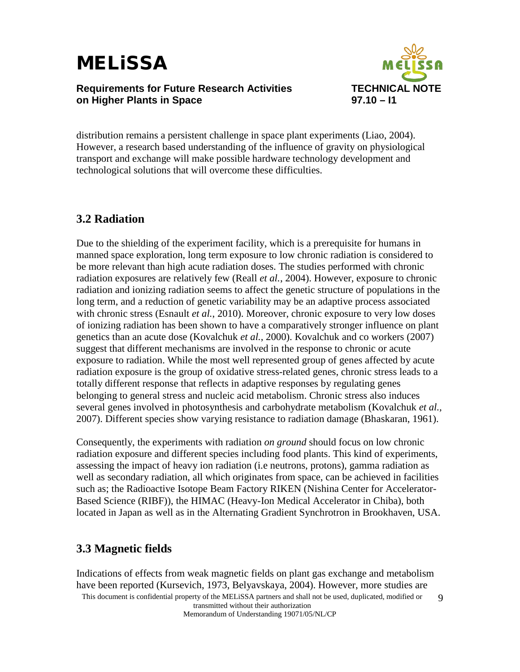#### **Requirements for Future Research Activities on Higher Plants in Space**



distribution remains a persistent challenge in space plant experiments (Liao, 2004). However, a research based understanding of the influence of gravity on physiological transport and exchange will make possible hardware technology development and technological solutions that will overcome these difficulties.

### <span id="page-8-0"></span>**3.2 Radiation**

Due to the shielding of the experiment facility, which is a prerequisite for humans in manned space exploration, long term exposure to low chronic radiation is considered to be more relevant than high acute radiation doses. The studies performed with chronic radiation exposures are relatively few (Reall *et al.*, 2004). However, exposure to chronic radiation and ionizing radiation seems to affect the genetic structure of populations in the long term, and a reduction of genetic variability may be an adaptive process associated with chronic stress (Esnault *et al.*, 2010). Moreover, chronic exposure to very low doses of ionizing radiation has been shown to have a comparatively stronger influence on plant genetics than an acute dose (Kovalchuk *et al.*, 2000). Kovalchuk and co workers (2007) suggest that different mechanisms are involved in the response to chronic or acute exposure to radiation. While the most well represented group of genes affected by acute radiation exposure is the group of oxidative stress-related genes, chronic stress leads to a totally different response that reflects in adaptive responses by regulating genes belonging to general stress and nucleic acid metabolism. Chronic stress also induces several genes involved in photosynthesis and carbohydrate metabolism (Kovalchuk *et al.,* 2007). Different species show varying resistance to radiation damage (Bhaskaran, 1961).

Consequently, the experiments with radiation *on ground* should focus on low chronic radiation exposure and different species including food plants. This kind of experiments, assessing the impact of heavy ion radiation (i.e neutrons, protons), gamma radiation as well as secondary radiation, all which originates from space, can be achieved in facilities such as; the Radioactive Isotope Beam Factory RIKEN (Nishina Center for Accelerator-Based Science (RIBF)), the HIMAC (Heavy-Ion Medical Accelerator in Chiba), both located in Japan as well as in the Alternating Gradient Synchrotron in Brookhaven, USA.

### <span id="page-8-1"></span>**3.3 Magnetic fields**

This document is confidential property of the MELiSSA partners and shall not be used, duplicated, modified or transmitted without their authorization Memorandum of Understanding 19071/05/NL/CP 9 Indications of effects from weak magnetic fields on plant gas exchange and metabolism have been reported (Kursevich, 1973, Belyavskaya, 2004). However, more studies are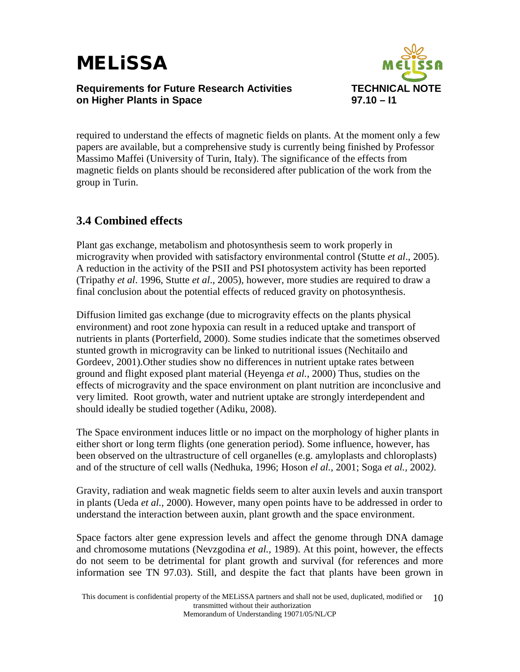#### **Requirements for Future Research Activities on Higher Plants in Space**



required to understand the effects of magnetic fields on plants. At the moment only a few papers are available, but a comprehensive study is currently being finished by Professor Massimo Maffei (University of Turin, Italy). The significance of the effects from magnetic fields on plants should be reconsidered after publication of the work from the group in Turin.

### <span id="page-9-0"></span>**3.4 Combined effects**

Plant gas exchange, metabolism and photosynthesis seem to work properly in microgravity when provided with satisfactory environmental control (Stutte *et al*., 2005). A reduction in the activity of the PSII and PSI photosystem activity has been reported (Tripathy *et al*. 1996, Stutte *et al*., 2005), however, more studies are required to draw a final conclusion about the potential effects of reduced gravity on photosynthesis.

Diffusion limited gas exchange (due to microgravity effects on the plants physical environment) and root zone hypoxia can result in a reduced uptake and transport of nutrients in plants (Porterfield, 2000). Some studies indicate that the sometimes observed stunted growth in microgravity can be linked to nutritional issues (Nechitailo and Gordeev, 2001).Other studies show no differences in nutrient uptake rates between ground and flight exposed plant material (Heyenga *et al.*, 2000) Thus, studies on the effects of microgravity and the space environment on plant nutrition are inconclusive and very limited. Root growth, water and nutrient uptake are strongly interdependent and should ideally be studied together (Adiku, 2008).

The Space environment induces little or no impact on the morphology of higher plants in either short or long term flights (one generation period). Some influence, however, has been observed on the ultrastructure of cell organelles (e.g. amyloplasts and chloroplasts) and of the structure of cell walls (Nedhuka, 1996; Hoson *el al.,* 2001; Soga *et al.,* 2002*)*.

Gravity, radiation and weak magnetic fields seem to alter auxin levels and auxin transport in plants (Ueda *et al.,* 2000). However, many open points have to be addressed in order to understand the interaction between auxin, plant growth and the space environment.

Space factors alter gene expression levels and affect the genome through DNA damage and chromosome mutations (Nevzgodina *et al.,* 1989). At this point, however, the effects do not seem to be detrimental for plant growth and survival (for references and more information see TN 97.03). Still, and despite the fact that plants have been grown in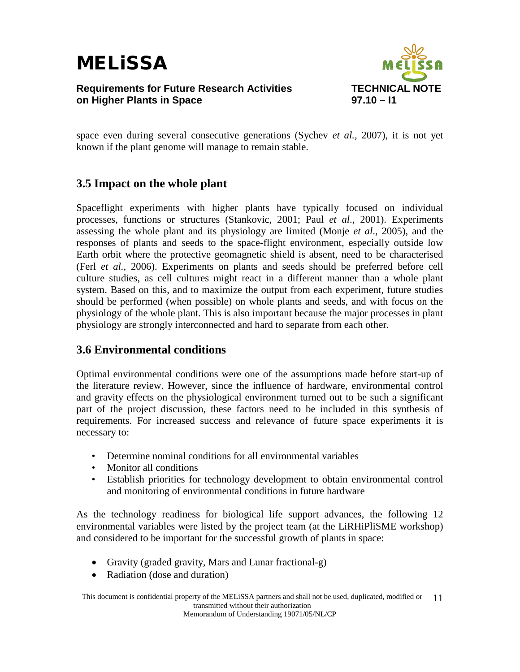#### **Requirements for Future Research Activities on Higher Plants in Space**



space even during several consecutive generations (Sychev *et al.,* 2007), it is not yet known if the plant genome will manage to remain stable.

### <span id="page-10-0"></span>**3.5 Impact on the whole plant**

Spaceflight experiments with higher plants have typically focused on individual processes, functions or structures (Stankovic, 2001; Paul *et al*., 2001). Experiments assessing the whole plant and its physiology are limited (Monje *et al*., 2005), and the responses of plants and seeds to the space-flight environment, especially outside low Earth orbit where the protective geomagnetic shield is absent, need to be characterised (Ferl *et al.,* 2006). Experiments on plants and seeds should be preferred before cell culture studies, as cell cultures might react in a different manner than a whole plant system. Based on this, and to maximize the output from each experiment, future studies should be performed (when possible) on whole plants and seeds, and with focus on the physiology of the whole plant. This is also important because the major processes in plant physiology are strongly interconnected and hard to separate from each other.

### <span id="page-10-1"></span>**3.6 Environmental conditions**

Optimal environmental conditions were one of the assumptions made before start-up of the literature review. However, since the influence of hardware, environmental control and gravity effects on the physiological environment turned out to be such a significant part of the project discussion, these factors need to be included in this synthesis of requirements. For increased success and relevance of future space experiments it is necessary to:

- Determine nominal conditions for all environmental variables
- Monitor all conditions
- Establish priorities for technology development to obtain environmental control and monitoring of environmental conditions in future hardware

As the technology readiness for biological life support advances, the following 12 environmental variables were listed by the project team (at the LiRHiPliSME workshop) and considered to be important for the successful growth of plants in space:

- Gravity (graded gravity, Mars and Lunar fractional-g)
- Radiation (dose and duration)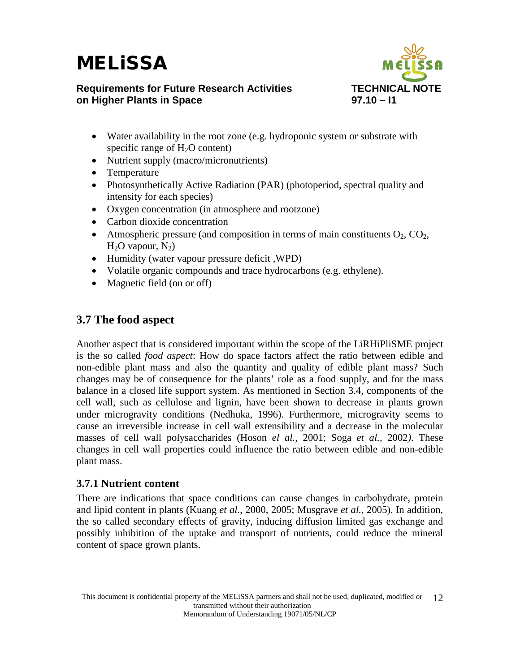### **Requirements for Future Research Activities on Higher Plants in Space**



- Water availability in the root zone (e.g. hydroponic system or substrate with specific range of  $H_2O$  content)
- Nutrient supply (macro/micronutrients)
- Temperature
- Photosynthetically Active Radiation (PAR) (photoperiod, spectral quality and intensity for each species)
- Oxygen concentration (in atmosphere and rootzone)
- Carbon dioxide concentration
- Atmospheric pressure (and composition in terms of main constituents  $O_2$ ,  $CO_2$ ,  $H<sub>2</sub>O$  vapour,  $N<sub>2</sub>$ )
- Humidity (water vapour pressure deficit ,WPD)
- Volatile organic compounds and trace hydrocarbons (e.g. ethylene).
- Magnetic field (on or off)

### <span id="page-11-0"></span>**3.7 The food aspect**

Another aspect that is considered important within the scope of the LiRHiPliSME project is the so called *food aspect*: How do space factors affect the ratio between edible and non-edible plant mass and also the quantity and quality of edible plant mass? Such changes may be of consequence for the plants' role as a food supply, and for the mass balance in a closed life support system. As mentioned in Section 3.4, components of the cell wall, such as cellulose and lignin, have been shown to decrease in plants grown under microgravity conditions (Nedhuka, 1996). Furthermore, microgravity seems to cause an irreversible increase in cell wall extensibility and a decrease in the molecular masses of cell wall polysaccharides (Hoson *el al.,* 2001; Soga *et al.,* 2002*)*. These changes in cell wall properties could influence the ratio between edible and non-edible plant mass.

### <span id="page-11-1"></span>**3.7.1 Nutrient content**

There are indications that space conditions can cause changes in carbohydrate, protein and lipid content in plants (Kuang *et al.*, 2000, 2005; Musgrave *et al.*, 2005). In addition, the so called secondary effects of gravity, inducing diffusion limited gas exchange and possibly inhibition of the uptake and transport of nutrients, could reduce the mineral content of space grown plants.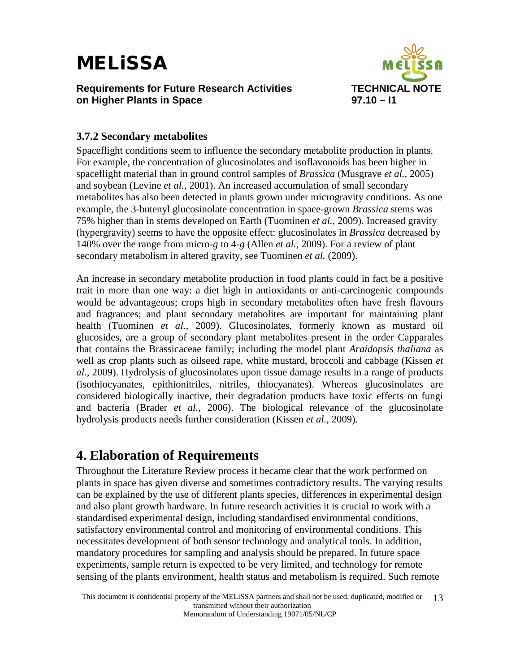**Requirements for Future Research Activities on Higher Plants in Space**



### <span id="page-12-0"></span>**3.7.2 Secondary metabolites**

Spaceflight conditions seem to influence the secondary metabolite production in plants. For example, the concentration of glucosinolates and isoflavonoids has been higher in spaceflight material than in ground control samples of *Brassica* (Musgrave *et al.*, 2005) and soybean (Levine *et al.*, 2001). An increased accumulation of small secondary metabolites has also been detected in plants grown under microgravity conditions. As one example, the 3-butenyl glucosinolate concentration in space-grown *Brassica* stems was 75% higher than in stems developed on Earth (Tuominen *et al.,* 2009). Increased gravity (hypergravity) seems to have the opposite effect: glucosinolates in *Brassica* decreased by 140% over the range from micro-*g* to 4-*g* (Allen *et al.*, 2009). For a review of plant secondary metabolism in altered gravity, see Tuominen *et al.* (2009).

An increase in secondary metabolite production in food plants could in fact be a positive trait in more than one way: a diet high in antioxidants or anti-carcinogenic compounds would be advantageous; crops high in secondary metabolites often have fresh flavours and fragrances; and plant secondary metabolites are important for maintaining plant health (Tuominen *et al.*, 2009). Glucosinolates, formerly known as mustard oil glucosides, are a group of secondary plant metabolites present in the order Capparales that contains the Brassicaceae family; including the model plant *Araidopsis thaliana* as well as crop plants such as oilseed rape, white mustard, broccoli and cabbage (Kissen *et al.*, 2009). Hydrolysis of glucosinolates upon tissue damage results in a range of products (isothiocyanates, epithionitriles, nitriles, thiocyanates). Whereas glucosinolates are considered biologically inactive, their degradation products have toxic effects on fungi and bacteria (Brader *et al.*[, 2006\)](#page-21-1). The biological relevance of the glucosinolate hydrolysis products needs further consideration (Kissen *et al.*, 2009).

### <span id="page-12-1"></span>**4. Elaboration of Requirements**

Throughout the Literature Review process it became clear that the work performed on plants in space has given diverse and sometimes contradictory results. The varying results can be explained by the use of different plants species, differences in experimental design and also plant growth hardware. In future research activities it is crucial to work with a standardised experimental design, including standardised environmental conditions, satisfactory environmental control and monitoring of environmental conditions. This necessitates development of both sensor technology and analytical tools. In addition, mandatory procedures for sampling and analysis should be prepared. In future space experiments, sample return is expected to be very limited, and technology for remote sensing of the plants environment, health status and metabolism is required. Such remote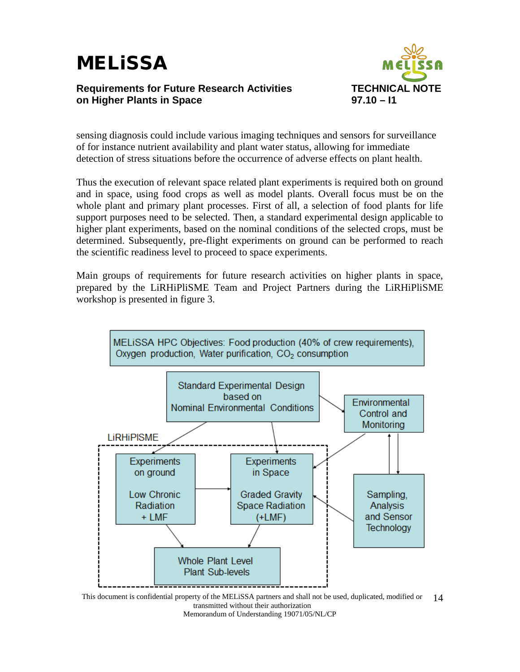### **Requirements for Future Research Activities on Higher Plants in Space**



sensing diagnosis could include various imaging techniques and sensors for surveillance of for instance nutrient availability and plant water status, allowing for immediate detection of stress situations before the occurrence of adverse effects on plant health.

Thus the execution of relevant space related plant experiments is required both on ground and in space, using food crops as well as model plants. Overall focus must be on the whole plant and primary plant processes. First of all, a selection of food plants for life support purposes need to be selected. Then, a standard experimental design applicable to higher plant experiments, based on the nominal conditions of the selected crops, must be determined. Subsequently, pre-flight experiments on ground can be performed to reach the scientific readiness level to proceed to space experiments.

Main groups of requirements for future research activities on higher plants in space, prepared by the LiRHiPliSME Team and Project Partners during the LiRHiPliSME workshop is presented in figure 3.



This document is confidential property of the MELiSSA partners and shall not be used, duplicated, modified or transmitted without their authorization Memorandum of Understanding 19071/05/NL/CP 14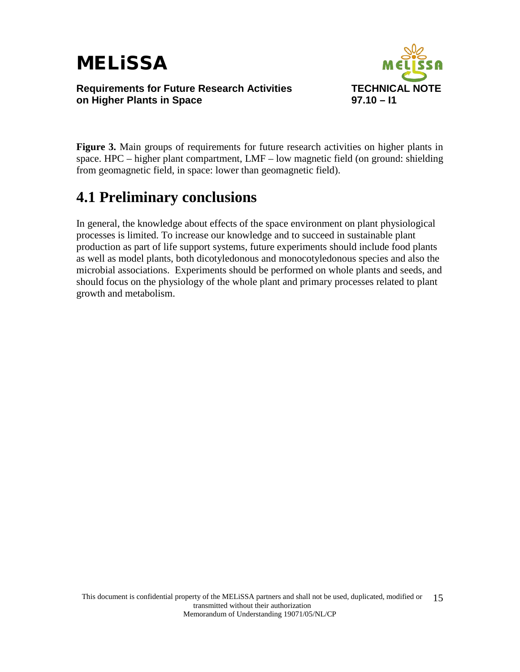**Requirements for Future Research Activities on Higher Plants in Space**



**Figure 3.** Main groups of requirements for future research activities on higher plants in space. HPC – higher plant compartment, LMF – low magnetic field (on ground: shielding from geomagnetic field, in space: lower than geomagnetic field).

## <span id="page-14-0"></span>**4.1 Preliminary conclusions**

In general, the knowledge about effects of the space environment on plant physiological processes is limited. To increase our knowledge and to succeed in sustainable plant production as part of life support systems, future experiments should include food plants as well as model plants, both dicotyledonous and monocotyledonous species and also the microbial associations. Experiments should be performed on whole plants and seeds, and should focus on the physiology of the whole plant and primary processes related to plant growth and metabolism.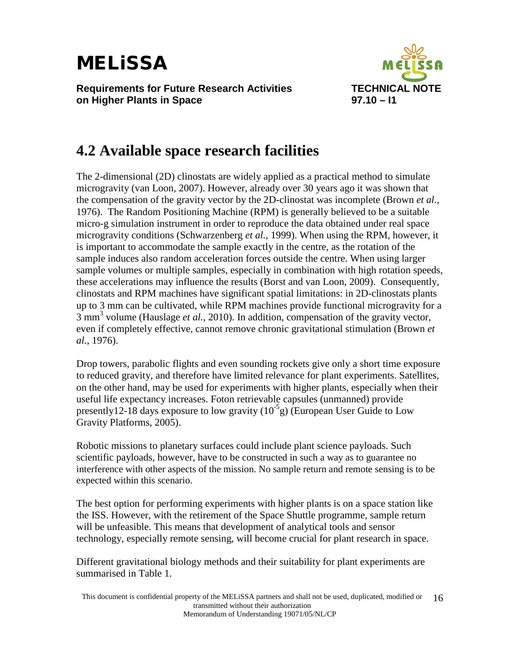**Requirements for Future Research Activities on Higher Plants in Space**



## <span id="page-15-0"></span>**4.2 Available space research facilities**

The 2-dimensional (2D) clinostats are widely applied as a practical method to simulate microgravity (van Loon, 2007). However, already over 30 years ago it was shown that the compensation of the gravity vector by the 2D-clinostat was incomplete (Brown *et al.*, 1976). The Random Positioning Machine (RPM) is generally believed to be a suitable micro-g simulation instrument in order to reproduce the data obtained under real space microgravity conditions (Schwarzenberg *et al.*, 1999). When using the RPM, however, it is important to accommodate the sample exactly in the centre, as the rotation of the sample induces also random acceleration forces outside the centre. When using larger sample volumes or multiple samples, especially in combination with high rotation speeds, these accelerations may influence the results (Borst and van Loon, 2009). Consequently, clinostats and RPM machines have significant spatial limitations: in 2D-clinostats plants up to 3 mm can be cultivated, while RPM machines provide functional microgravity for a 3 mm<sup>3</sup> volume (Hauslage *et al.*, 2010). In addition, compensation of the gravity vector, even if completely effective, cannot remove chronic gravitational stimulation (Brown *et al.*, 1976).

Drop towers, parabolic flights and even sounding rockets give only a short time exposure to reduced gravity, and therefore have limited relevance for plant experiments. Satellites, on the other hand, may be used for experiments with higher plants, especially when their useful life expectancy increases. Foton retrievable capsules (unmanned) provide presently12-18 days exposure to low gravity  $(10^{-5} g)$  (European User Guide to Low Gravity Platforms, 2005).

Robotic missions to planetary surfaces could include plant science payloads. Such scientific payloads, however, have to be constructed in such a way as to guarantee no interference with other aspects of the mission. No sample return and remote sensing is to be expected within this scenario.

The best option for performing experiments with higher plants is on a space station like the ISS. However, with the retirement of the Space Shuttle programme, sample return will be unfeasible. This means that development of analytical tools and sensor technology, especially remote sensing, will become crucial for plant research in space.

Different gravitational biology methods and their suitability for plant experiments are summarised in Table 1.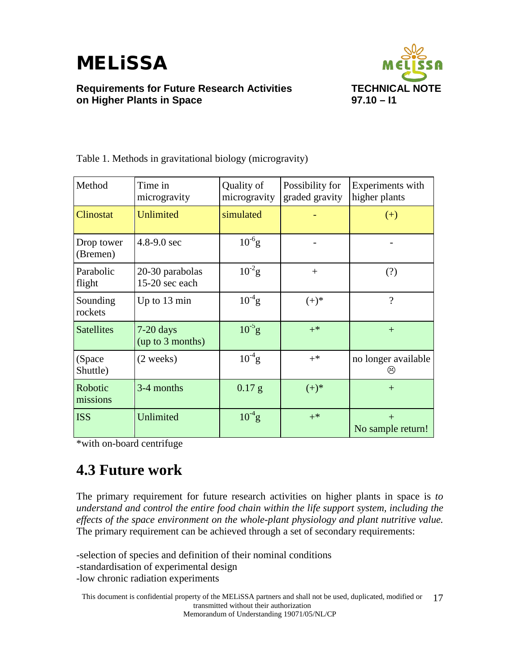

**Requirements for Future Research Activities on Higher Plants in Space**



| Method                 | Time in<br>microgravity           | Quality of<br>microgravity | Possibility for<br>graded gravity | Experiments with<br>higher plants |
|------------------------|-----------------------------------|----------------------------|-----------------------------------|-----------------------------------|
| <b>Clinostat</b>       | Unlimited                         | simulated                  |                                   | $(+)$                             |
| Drop tower<br>(Bremen) | $4.8 - 9.0$ sec                   | $10^{-6}$ g                |                                   |                                   |
| Parabolic<br>flight    | 20-30 parabolas<br>15-20 sec each | $10^{-2}$ g                | $^{+}$                            | (?)                               |
| Sounding<br>rockets    | Up to 13 min                      | $10^{-4}$ g                | $(+)^*$                           | ?                                 |
| <b>Satellites</b>      | $7-20$ days<br>(up to 3 months)   | $10^{-5}$ g                | $+$ *                             | $+$                               |
| (Space<br>Shuttle)     | (2 weeks)                         | $10^{-4}$ g                | $+^*$                             | no longer available<br>⇔          |
| Robotic<br>missions    | 3-4 months                        | 0.17 g                     | $(+)^{*}$                         | $+$                               |
| <b>ISS</b>             | Unlimited                         | $10^{-4}$ g                | $+^*$                             | $+$<br>No sample return!          |

Table 1. Methods in gravitational biology (microgravity)

<span id="page-16-0"></span>\*with on-board centrifuge

## **4.3 Future work**

The primary requirement for future research activities on higher plants in space is *to understand and control the entire food chain within the life support system, including the effects of the space environment on the whole-plant physiology and plant nutritive value.*  The primary requirement can be achieved through a set of secondary requirements:

-selection of species and definition of their nominal conditions -standardisation of experimental design -low chronic radiation experiments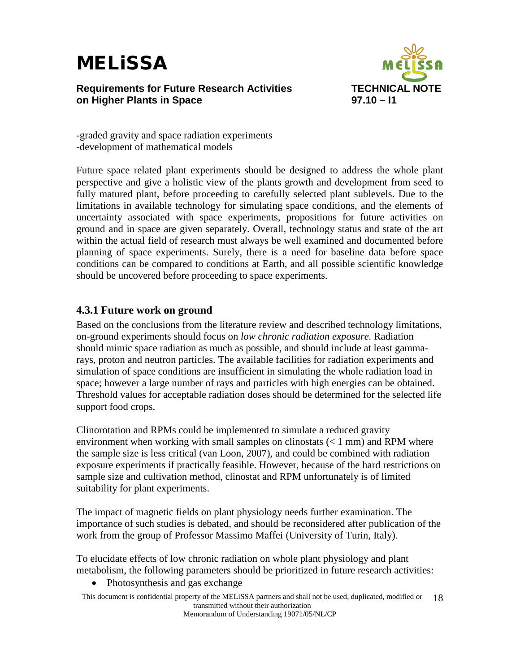#### **Requirements for Future Research Activities on Higher Plants in Space**



-graded gravity and space radiation experiments -development of mathematical models

Future space related plant experiments should be designed to address the whole plant perspective and give a holistic view of the plants growth and development from seed to fully matured plant, before proceeding to carefully selected plant sublevels. Due to the limitations in available technology for simulating space conditions, and the elements of uncertainty associated with space experiments, propositions for future activities on ground and in space are given separately. Overall, technology status and state of the art within the actual field of research must always be well examined and documented before planning of space experiments. Surely, there is a need for baseline data before space conditions can be compared to conditions at Earth, and all possible scientific knowledge should be uncovered before proceeding to space experiments.

### <span id="page-17-0"></span>**4.3.1 Future work on ground**

Based on the conclusions from the literature review and described technology limitations, on-ground experiments should focus on *low chronic radiation exposure.* Radiation should mimic space radiation as much as possible, and should include at least gammarays, proton and neutron particles. The available facilities for radiation experiments and simulation of space conditions are insufficient in simulating the whole radiation load in space; however a large number of rays and particles with high energies can be obtained. Threshold values for acceptable radiation doses should be determined for the selected life support food crops.

Clinorotation and RPMs could be implemented to simulate a reduced gravity environment when working with small samples on clinostats  $(< 1 \text{ mm})$  and RPM where the sample size is less critical (van Loon, 2007), and could be combined with radiation exposure experiments if practically feasible. However, because of the hard restrictions on sample size and cultivation method, clinostat and RPM unfortunately is of limited suitability for plant experiments.

The impact of magnetic fields on plant physiology needs further examination. The importance of such studies is debated, and should be reconsidered after publication of the work from the group of Professor Massimo Maffei (University of Turin, Italy).

To elucidate effects of low chronic radiation on whole plant physiology and plant metabolism, the following parameters should be prioritized in future research activities:

• Photosynthesis and gas exchange

This document is confidential property of the MELiSSA partners and shall not be used, duplicated, modified or transmitted without their authorization 18

Memorandum of Understanding 19071/05/NL/CP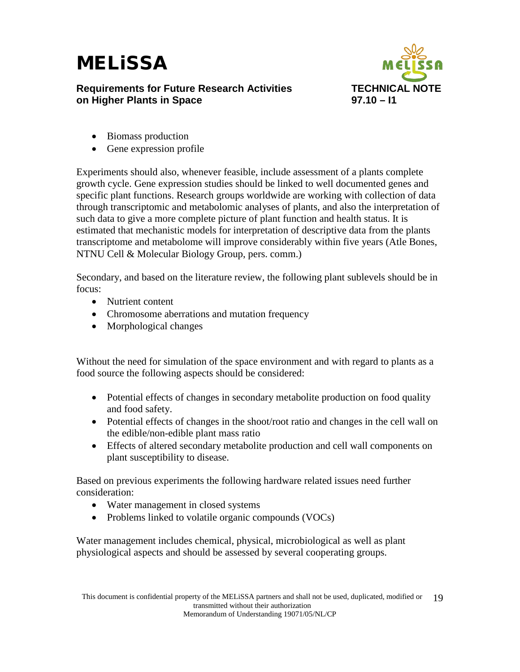#### **Requirements for Future Research Activities on Higher Plants in Space**



- Biomass production
- Gene expression profile

Experiments should also, whenever feasible, include assessment of a plants complete growth cycle. Gene expression studies should be linked to well documented genes and specific plant functions. Research groups worldwide are working with collection of data through transcriptomic and metabolomic analyses of plants, and also the interpretation of such data to give a more complete picture of plant function and health status. It is estimated that mechanistic models for interpretation of descriptive data from the plants transcriptome and metabolome will improve considerably within five years (Atle Bones, NTNU Cell & Molecular Biology Group, pers. comm.)

Secondary, and based on the literature review, the following plant sublevels should be in focus:

- Nutrient content
- Chromosome aberrations and mutation frequency
- Morphological changes

Without the need for simulation of the space environment and with regard to plants as a food source the following aspects should be considered:

- Potential effects of changes in secondary metabolite production on food quality and food safety.
- Potential effects of changes in the shoot/root ratio and changes in the cell wall on the edible/non-edible plant mass ratio
- Effects of altered secondary metabolite production and cell wall components on plant susceptibility to disease.

Based on previous experiments the following hardware related issues need further consideration:

- Water management in closed systems
- Problems linked to volatile organic compounds (VOCs)

Water management includes chemical, physical, microbiological as well as plant physiological aspects and should be assessed by several cooperating groups.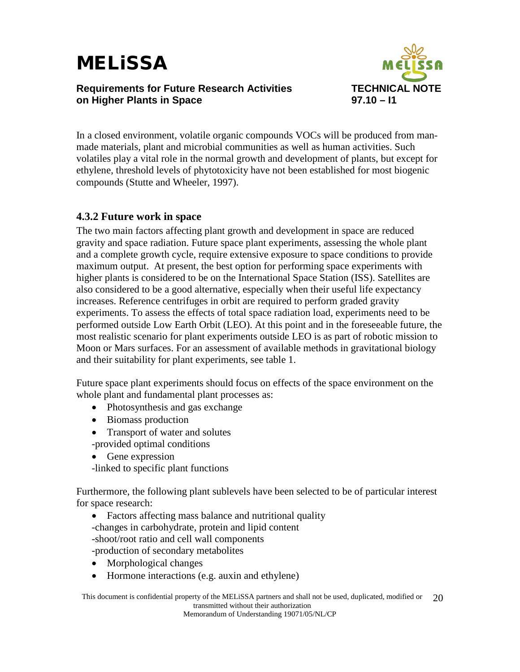#### **Requirements for Future Research Activities on Higher Plants in Space**



In a closed environment, volatile organic compounds VOCs will be produced from manmade materials, plant and microbial communities as well as human activities. Such volatiles play a vital role in the normal growth and development of plants, but except for ethylene, threshold levels of phytotoxicity have not been established for most biogenic compounds (Stutte and Wheeler, 1997).

### <span id="page-19-0"></span>**4.3.2 Future work in space**

The two main factors affecting plant growth and development in space are reduced gravity and space radiation. Future space plant experiments, assessing the whole plant and a complete growth cycle, require extensive exposure to space conditions to provide maximum output. At present, the best option for performing space experiments with higher plants is considered to be on the International Space Station (ISS). Satellites are also considered to be a good alternative, especially when their useful life expectancy increases. Reference centrifuges in orbit are required to perform graded gravity experiments. To assess the effects of total space radiation load, experiments need to be performed outside Low Earth Orbit (LEO). At this point and in the foreseeable future, the most realistic scenario for plant experiments outside LEO is as part of robotic mission to Moon or Mars surfaces. For an assessment of available methods in gravitational biology and their suitability for plant experiments, see table 1.

Future space plant experiments should focus on effects of the space environment on the whole plant and fundamental plant processes as:

- Photosynthesis and gas exchange
- Biomass production
- Transport of water and solutes
- -provided optimal conditions
- Gene expression

-linked to specific plant functions

Furthermore, the following plant sublevels have been selected to be of particular interest for space research:

- Factors affecting mass balance and nutritional quality
- -changes in carbohydrate, protein and lipid content

-shoot/root ratio and cell wall components

-production of secondary metabolites

- Morphological changes
- Hormone interactions (e.g. auxin and ethylene)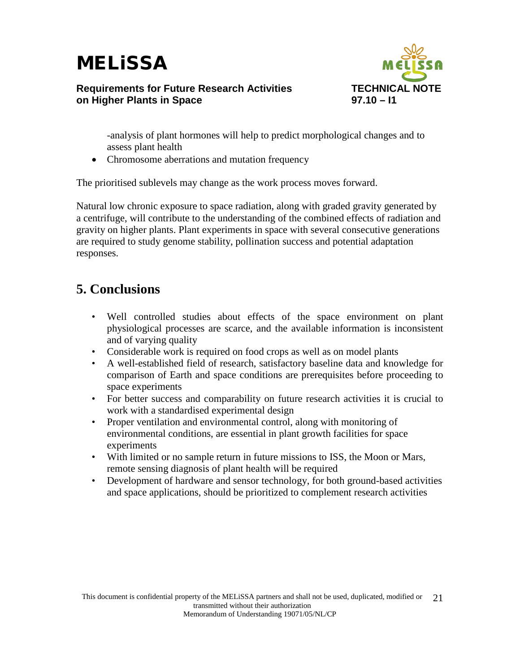### **Requirements for Future Research Activities on Higher Plants in Space**



-analysis of plant hormones will help to predict morphological changes and to assess plant health

• Chromosome aberrations and mutation frequency

The prioritised sublevels may change as the work process moves forward.

Natural low chronic exposure to space radiation, along with graded gravity generated by a centrifuge, will contribute to the understanding of the combined effects of radiation and gravity on higher plants. Plant experiments in space with several consecutive generations are required to study genome stability, pollination success and potential adaptation responses.

### <span id="page-20-0"></span>**5. Conclusions**

- Well controlled studies about effects of the space environment on plant physiological processes are scarce, and the available information is inconsistent and of varying quality
- Considerable work is required on food crops as well as on model plants
- A well-established field of research, satisfactory baseline data and knowledge for comparison of Earth and space conditions are prerequisites before proceeding to space experiments
- For better success and comparability on future research activities it is crucial to work with a standardised experimental design
- Proper ventilation and environmental control, along with monitoring of environmental conditions, are essential in plant growth facilities for space experiments
- With limited or no sample return in future missions to ISS, the Moon or Mars, remote sensing diagnosis of plant health will be required
- Development of hardware and sensor technology, for both ground-based activities and space applications, should be prioritized to complement research activities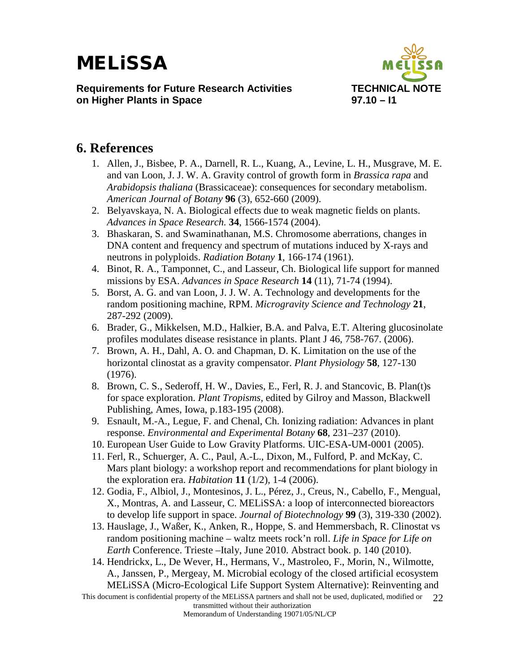**Requirements for Future Research Activities on Higher Plants in Space**



### <span id="page-21-0"></span>**6. References**

- 1. Allen, J., Bisbee, P. A., Darnell, R. L., Kuang, A., Levine, L. H., Musgrave, M. E. and van Loon, J. J. W. A. Gravity control of growth form in *Brassica rapa* and *Arabidopsis thaliana* (Brassicaceae): consequences for secondary metabolism. *American Journal of Botany* **96** (3), 652-660 (2009).
- 2. Belyavskaya, N. A. Biological effects due to weak magnetic fields on plants. *Advances in Space Research.* **34**, 1566-1574 (2004).
- 3. Bhaskaran, S. and Swaminathanan, M.S. Chromosome aberrations, changes in DNA content and frequency and spectrum of mutations induced by X-rays and neutrons in polyploids. *Radiation Botany* **1**, 166-174 (1961).
- 4. Binot, R. A., Tamponnet, C., and Lasseur, Ch. Biological life support for manned missions by ESA. *Advances in Space Research* **14** (11), 71-74 (1994).
- 5. Borst, A. G. and van Loon, J. J. W. A. Technology and developments for the random positioning machine, RPM. *Microgravity Science and Technology* **21**, 287-292 (2009).
- <span id="page-21-1"></span>6. Brader, G., Mikkelsen, M.D., Halkier, B.A. and Palva, E.T. Altering glucosinolate profiles modulates disease resistance in plants. Plant J 46, 758-767. (2006).
- 7. Brown, A. H., Dahl, A. O. and Chapman, D. K. Limitation on the use of the horizontal clinostat as a gravity compensator. *Plant Physiology* **58**, 127-130 (1976).
- 8. Brown, C. S., Sederoff, H. W., Davies, E., Ferl, R. J. and Stancovic, B. Plan(t)s for space exploration. *Plant Tropisms,* edited by Gilroy and Masson, Blackwell Publishing, Ames, Iowa, p.183-195 (2008).
- 9. Esnault, M.-A., Legue, F. and Chenal, Ch. Ionizing radiation: Advances in plant response. *Environmental and Experimental Botany* **68**, 231–237 (2010).
- 10. European User Guide to Low Gravity Platforms. UIC-ESA-UM-0001 (2005).
- 11. Ferl, R., Schuerger, A. C., Paul, A.-L., Dixon, M., Fulford, P. and McKay, C. Mars plant biology: a workshop report and recommendations for plant biology in the exploration era. *Habitation* **11** (1/2), 1-4 (2006).
- 12. Godia, F., Albiol, J., Montesinos, J. L., Pérez, J., Creus, N., Cabello, F., Mengual, X., Montras, A. and Lasseur, C. MELiSSA: a loop of interconnected bioreactors to develop life support in space. *Journal of Biotechnology* **99** (3), 319-330 (2002).
- 13. Hauslage, J., Waßer, K., Anken, R., Hoppe, S. and Hemmersbach, R. Clinostat vs random positioning machine – waltz meets rock'n roll. *Life in Space for Life on Earth* Conference. Trieste –Italy, June 2010. Abstract book. p. 140 (2010).
- 14. Hendrickx, L., De Wever, H., Hermans, V., Mastroleo, F., Morin, N., Wilmotte, A., Janssen, P., Mergeay, M. Microbial ecology of the closed artificial ecosystem MELiSSA (Micro-Ecological Life Support System Alternative): Reinventing and

This document is confidential property of the MELiSSA partners and shall not be used, duplicated, modified or transmitted without their authorization 22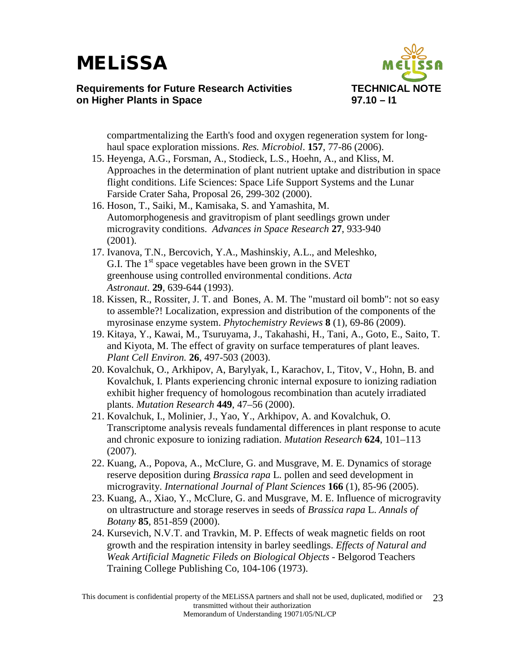### **Requirements for Future Research Activities on Higher Plants in Space**



compartmentalizing the Earth's food and oxygen regeneration system for longhaul space exploration missions. *Res. Microbiol*. **157**, 77-86 (2006).

- 15. Heyenga, A.G., Forsman, A., Stodieck, L.S., Hoehn, A., and Kliss, M. Approaches in the determination of plant nutrient uptake and distribution in space flight conditions. Life Sciences: Space Life Support Systems and the Lunar Farside Crater Saha, Proposal 26, 299-302 (2000).
- 16. Hoson, T., Saiki, M., Kamisaka, S. and Yamashita, M. Automorphogenesis and gravitropism of plant seedlings grown under microgravity conditions. *Advances in Space Research* **27**, 933-940 (2001).
- 17. Ivanova, T.N., Bercovich, Y.A., Mashinskiy, A.L., and Meleshko, G.I. The  $1<sup>st</sup>$  space vegetables have been grown in the SVET greenhouse using controlled environmental conditions. *Acta Astronaut*. **29**, 639-644 (1993).
- 18. Kissen, R., Rossiter, J. T. and Bones, A. M. The "mustard oil bomb": not so easy to assemble?! Localization, expression and distribution of the components of the myrosinase enzyme system. *Phytochemistry Reviews* **8** (1), 69-86 (2009).
- 19. Kitaya, Y., Kawai, M., Tsuruyama, J., Takahashi, H., Tani, A., Goto, E., Saito, T. and Kiyota, M. The effect of gravity on surface temperatures of plant leaves. *Plant Cell Environ.* **26**, 497-503 (2003).
- 20. Kovalchuk, O., Arkhipov, A, Barylyak, I., Karachov, I., Titov, V., Hohn, B. and Kovalchuk, I. Plants experiencing chronic internal exposure to ionizing radiation exhibit higher frequency of homologous recombination than acutely irradiated plants. *Mutation Research* **449**, 47–56 (2000).
- 21. Kovalchuk, I., Molinier, J., Yao, Y., Arkhipov, A. and Kovalchuk, O. Transcriptome analysis reveals fundamental differences in plant response to acute and chronic exposure to ionizing radiation. *Mutation Research* **624**, 101–113 (2007).
- 22. Kuang, A., Popova, A., McClure, G. and Musgrave, M. E. Dynamics of storage reserve deposition during *Brassica rapa* L. pollen and seed development in microgravity. *International Journal of Plant Sciences* **166** (1), 85-96 (2005).
- 23. Kuang, A., Xiao, Y., McClure, G. and Musgrave, M. E. Influence of microgravity on ultrastructure and storage reserves in seeds of *Brassica rapa* L. *Annals of Botany* **85**, 851-859 (2000).
- 24. Kursevich, N.V.T. and Travkin, M. P. Effects of weak magnetic fields on root growth and the respiration intensity in barley seedlings. *Effects of Natural and Weak Artificial Magnetic Fileds on Biological Objects* - Belgorod Teachers Training College Publishing Co, 104-106 (1973).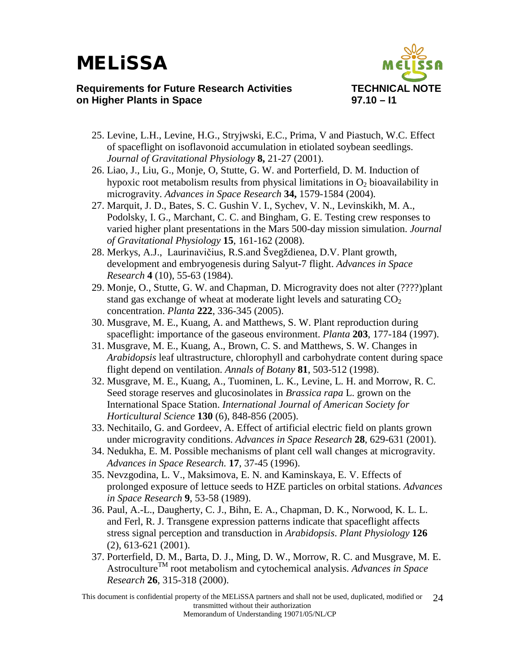**Requirements for Future Research Activities on Higher Plants in Space**



- 25. Levine, L.H., Levine, H.G., Stryjwski, E.C., Prima, V and Piastuch, W.C. Effect of spaceflight on isoflavonoid accumulation in etiolated soybean seedlings. *Journal of Gravitational Physiology* **8,** 21-27 (2001).
- 26. Liao, J., Liu, G., Monje, O, Stutte, G. W. and Porterfield, D. M. Induction of hypoxic root metabolism results from physical limitations in  $O_2$  bioavailability in microgravity. *Advances in Space Research* **34,** 1579-1584 (2004).
- 27. Marquit, J. D., Bates, S. C. Gushin V. I., Sychev, V. N., Levinskikh, M. A., Podolsky, I. G., Marchant, C. C. and Bingham, G. E. Testing crew responses to varied higher plant presentations in the Mars 500-day mission simulation. *Journal of Gravitational Physiology* **15**, 161-162 (2008).
- 28. [Merkys,](http://www.sciencedirect.com/science?_ob=RedirectURL&_method=outwardLink&_partnerName=27983&_origin=article&_zone=art_page&_linkType=scopusAuthorDocuments&_targetURL=http%3A%2F%2Fwww.scopus.com%2Fscopus%2Finward%2Fauthor.url%3FpartnerID%3D10%26rel%3D3.0.0%26sortField%3Dcited%26sortOrder%3Dasc%26author%3DMerkys,%2520A.J.%26authorID%3D6701540887%26md5%3D4e6f34315fafaa383a79ace732ce4d17&_acct=C000030078&_version=1&_userid=586462&md5=cbedfd961253ef959e84acf1d4983b84) A.J., [Laurinavičius](http://www.sciencedirect.com/science?_ob=RedirectURL&_method=outwardLink&_partnerName=27983&_origin=article&_zone=art_page&_linkType=scopusAuthorDocuments&_targetURL=http%3A%2F%2Fwww.scopus.com%2Fscopus%2Finward%2Fauthor.url%3FpartnerID%3D10%26rel%3D3.0.0%26sortField%3Dcited%26sortOrder%3Dasc%26author%3DLaurinavicius,%2520R.S.%26authorID%3D6603591977%26md5%3D88d626634b7f09cde32847435085e9a8&_acct=C000030078&_version=1&_userid=586462&md5=191bc2a4c67b5ccae248a7ed67cf24cf), R.S.and [Švegždienea,](http://www.sciencedirect.com/science?_ob=RedirectURL&_method=outwardLink&_partnerName=27983&_origin=article&_zone=art_page&_linkType=scopusAuthorDocuments&_targetURL=http%3A%2F%2Fwww.scopus.com%2Fscopus%2Finward%2Fauthor.url%3FpartnerID%3D10%26rel%3D3.0.0%26sortField%3Dcited%26sortOrder%3Dasc%26author%3DSvegzdiene,%2520D.V.%26authorID%3D6506467668%26md5%3Df407ccd7f5a8d2d01a6f478ed3670587&_acct=C000030078&_version=1&_userid=586462&md5=5fc953112f2576db469573aed8ec3b84) D.V. Plant growth, development and embryogenesis during Salyut-7 flight. *Advances in Space Research* **4** (10), 55-63 (1984).
- 29. Monje, O., Stutte, G. W. and Chapman, D. Microgravity does not alter (????)plant stand gas exchange of wheat at moderate light levels and saturating  $CO<sub>2</sub>$ concentration. *Planta* **222**, 336-345 (2005).
- 30. Musgrave, M. E., Kuang, A. and Matthews, S. W. Plant reproduction during spaceflight: importance of the gaseous environment. *Planta* **203**, 177-184 (1997).
- 31. Musgrave, M. E., Kuang, A., Brown, C. S. and Matthews, S. W. Changes in *Arabidopsis* leaf ultrastructure, chlorophyll and carbohydrate content during space flight depend on ventilation. *Annals of Botany* **81**, 503-512 (1998).
- 32. Musgrave, M. E., Kuang, A., Tuominen, L. K., Levine, L. H. and Morrow, R. C. Seed storage reserves and glucosinolates in *Brassica rapa* L. grown on the International Space Station. *International Journal of American Society for Horticultural Science* **130** (6), 848-856 (2005).
- 33. Nechitailo, G. and Gordeev, A. Effect of artificial electric field on plants grown under microgravity conditions. *Advances in Space Research* **28**, 629-631 (2001).
- 34. Nedukha, E. M. Possible mechanisms of plant cell wall changes at microgravity. *Advances in Space Research.* **17**, 37-45 (1996).
- 35. Nevzgodina, L. V., Maksimova, E. N. and Kaminskaya, E. V. Effects of prolonged exposure of lettuce seeds to HZE particles on orbital stations. *Advances in Space Research* **9**, 53-58 (1989).
- 36. Paul, A.-L., Daugherty, C. J., Bihn, E. A., Chapman, D. K., Norwood, K. L. L. and Ferl, R. J. Transgene expression patterns indicate that spaceflight affects stress signal perception and transduction in *Arabidopsis*. *Plant Physiology* **126**  (2), 613-621 (2001).
- 37. Porterfield, D. M., Barta, D. J., Ming, D. W., Morrow, R. C. and Musgrave, M. E. AstrocultureTM root metabolism and cytochemical analysis. *Advances in Space Research* **26**, 315-318 (2000).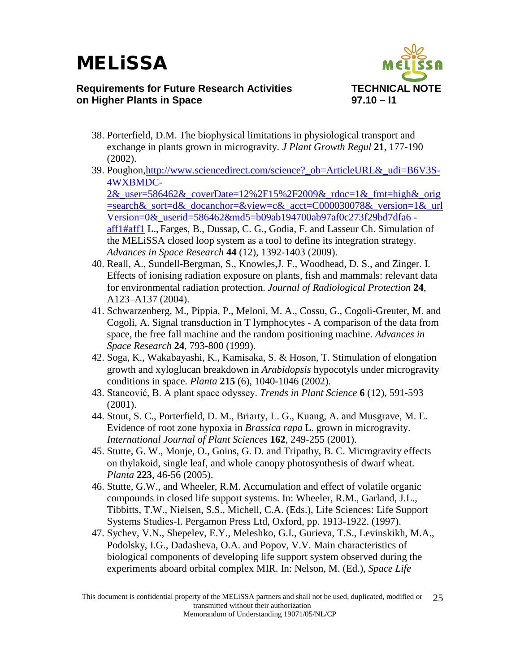### **Requirements for Future Research Activities on Higher Plants in Space**



- 38. Porterfield, D.M. The biophysical limitations in physiological transport and exchange in plants grown in microgravity. *J Plant Growth Regul* **21**, 177-190 (2002).
- 39. Poughon[,http://www.sciencedirect.com/science?\\_ob=ArticleURL&\\_udi=B6V3S-](http://www.sciencedirect.com/science?_ob=ArticleURL&_udi=B6V3S-4WXBMDC-2&_user=586462&_coverDate=12%2F15%2F2009&_rdoc=1&_fmt=high&_orig=search&_sort=d&_docanchor=&view=c&_acct=C000030078&_version=1&_urlVersion=0&_userid=586462&md5=b09ab194700ab97af0c273f29bd7dfa6#aff1#aff1)[4WXBMDC-](http://www.sciencedirect.com/science?_ob=ArticleURL&_udi=B6V3S-4WXBMDC-2&_user=586462&_coverDate=12%2F15%2F2009&_rdoc=1&_fmt=high&_orig=search&_sort=d&_docanchor=&view=c&_acct=C000030078&_version=1&_urlVersion=0&_userid=586462&md5=b09ab194700ab97af0c273f29bd7dfa6#aff1#aff1)

[2&\\_user=586462&\\_coverDate=12%2F15%2F2009&\\_rdoc=1&\\_fmt=high&\\_orig](http://www.sciencedirect.com/science?_ob=ArticleURL&_udi=B6V3S-4WXBMDC-2&_user=586462&_coverDate=12%2F15%2F2009&_rdoc=1&_fmt=high&_orig=search&_sort=d&_docanchor=&view=c&_acct=C000030078&_version=1&_urlVersion=0&_userid=586462&md5=b09ab194700ab97af0c273f29bd7dfa6#aff1#aff1) [=search&\\_sort=d&\\_docanchor=&view=c&\\_acct=C000030078&\\_version=1&\\_url](http://www.sciencedirect.com/science?_ob=ArticleURL&_udi=B6V3S-4WXBMDC-2&_user=586462&_coverDate=12%2F15%2F2009&_rdoc=1&_fmt=high&_orig=search&_sort=d&_docanchor=&view=c&_acct=C000030078&_version=1&_urlVersion=0&_userid=586462&md5=b09ab194700ab97af0c273f29bd7dfa6#aff1#aff1) [Version=0&\\_userid=586462&md5=b09ab194700ab97af0c273f29bd7dfa6 -](http://www.sciencedirect.com/science?_ob=ArticleURL&_udi=B6V3S-4WXBMDC-2&_user=586462&_coverDate=12%2F15%2F2009&_rdoc=1&_fmt=high&_orig=search&_sort=d&_docanchor=&view=c&_acct=C000030078&_version=1&_urlVersion=0&_userid=586462&md5=b09ab194700ab97af0c273f29bd7dfa6#aff1#aff1)

[aff1#aff1](http://www.sciencedirect.com/science?_ob=ArticleURL&_udi=B6V3S-4WXBMDC-2&_user=586462&_coverDate=12%2F15%2F2009&_rdoc=1&_fmt=high&_orig=search&_sort=d&_docanchor=&view=c&_acct=C000030078&_version=1&_urlVersion=0&_userid=586462&md5=b09ab194700ab97af0c273f29bd7dfa6#aff1#aff1) L., Farges, B., Dussap, C. G., Godia, F. and Lasseur Ch. Simulation of the MELiSSA closed loop system as a tool to define its integration strategy. *Advances in Space Research* **44** (12), 1392-1403 (2009).

- 40. Reall, A., Sundell-Bergman, S., Knowles,J. F., Woodhead, D. S., and Zinger. I. Effects of ionising radiation exposure on plants, fish and mammals: relevant data for environmental radiation protection. *Journal of Radiological Protection* **24**, A123–A137 (2004).
- 41. Schwarzenberg, M., Pippia, P., Meloni, M. A., Cossu, G., Cogoli-Greuter, M. and Cogoli, A. Signal transduction in T lymphocytes - A comparison of the data from space, the free fall machine and the random positioning machine. *Advances in Space Research* **24**, 793-800 (1999).
- 42. Soga, K., Wakabayashi, K., Kamisaka, S. & Hoson, T. Stimulation of elongation growth and xyloglucan breakdown in *Arabidopsis* hypocotyls under microgravity conditions in space. *Planta* **215** (6), 1040-1046 (2002).
- 43. Stancović, B. A plant space odyssey. *Trends in Plant Science* **6** (12), 591-593 (2001).
- 44. Stout, S. C., Porterfield, D. M., Briarty, L. G., Kuang, A. and Musgrave, M. E. Evidence of root zone hypoxia in *Brassica rapa* L. grown in microgravity. *International Journal of Plant Sciences* **162**, 249-255 (2001).
- 45. Stutte, G. W., Monje, O., Goins, G. D. and Tripathy, B. C. Microgravity effects on thylakoid, single leaf, and whole canopy photosynthesis of dwarf wheat. *Planta* **223**, 46-56 (2005).
- 46. Stutte, G.W., and Wheeler, R.M. Accumulation and effect of volatile organic compounds in closed life support systems. In: Wheeler, R.M., Garland, J.L., Tibbitts, T.W., Nielsen, S.S., Michell, C.A. (Eds.), Life Sciences: Life Support Systems Studies-I. Pergamon Press Ltd, Oxford, pp. 1913-1922. (1997).
- 47. Sychev, V.N., Shepelev, E.Y., Meleshko, G.I., Gurieva, T.S., Levinskikh, M.A., Podolsky, I.G., Dadasheva, O.A. and Popov, V.V. Main characteristics of biological components of developing life support system observed during the experiments aboard orbital complex MIR. In: Nelson, M. (Ed.), *Space Life*